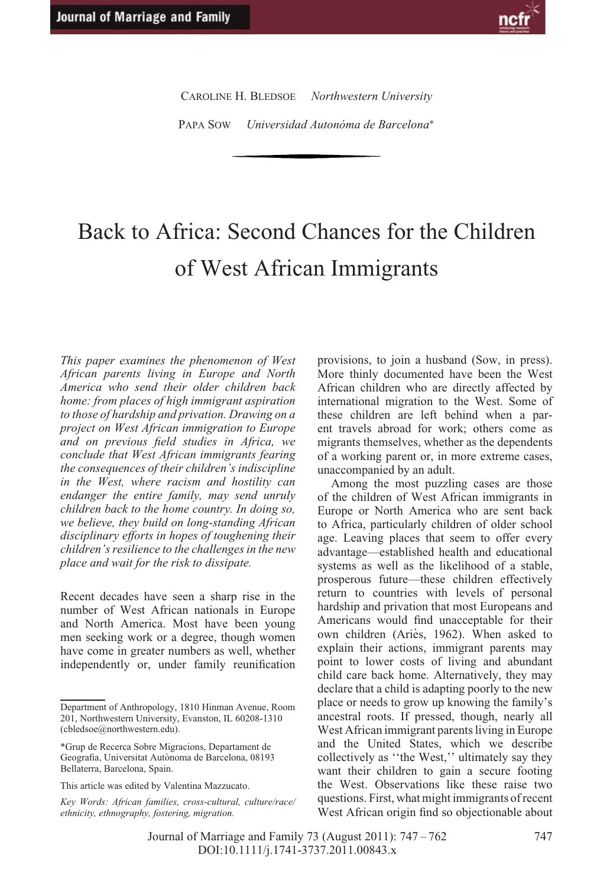

CAROLINE H. BLEDSOE *Northwestern University* PAPA SOW *Universidad Autonoma de Barcelona ´* ∗

# Back to Africa: Second Chances for the Children of West African Immigrants

*This paper examines the phenomenon of West African parents living in Europe and North America who send their older children back home: from places of high immigrant aspiration to those of hardship and privation. Drawing on a project on West African immigration to Europe and on previous field studies in Africa, we conclude that West African immigrants fearing the consequences of their children's indiscipline in the West, where racism and hostility can endanger the entire family, may send unruly children back to the home country. In doing so, we believe, they build on long-standing African disciplinary efforts in hopes of toughening their children's resilience to the challenges in the new place and wait for the risk to dissipate.*

Recent decades have seen a sharp rise in the number of West African nationals in Europe and North America. Most have been young men seeking work or a degree, though women have come in greater numbers as well, whether independently or, under family reunification

provisions, to join a husband (Sow, in press). More thinly documented have been the West African children who are directly affected by international migration to the West. Some of these children are left behind when a parent travels abroad for work; others come as migrants themselves, whether as the dependents of a working parent or, in more extreme cases, unaccompanied by an adult.

Among the most puzzling cases are those of the children of West African immigrants in Europe or North America who are sent back to Africa, particularly children of older school age. Leaving places that seem to offer every advantage—established health and educational systems as well as the likelihood of a stable, prosperous future—these children effectively return to countries with levels of personal hardship and privation that most Europeans and Americans would find unacceptable for their own children (Ariès, 1962). When asked to explain their actions, immigrant parents may point to lower costs of living and abundant child care back home. Alternatively, they may declare that a child is adapting poorly to the new place or needs to grow up knowing the family's ancestral roots. If pressed, though, nearly all West African immigrant parents living in Europe and the United States, which we describe collectively as ''the West,'' ultimately say they want their children to gain a secure footing the West. Observations like these raise two questions. First, what might immigrants of recent West African origin find so objectionable about

Department of Anthropology, 1810 Hinman Avenue, Room 201, Northwestern University, Evanston, IL 60208-1310 (cbledsoe@northwestern.edu).

<sup>\*</sup>Grup de Recerca Sobre Migracions, Departament de Geografia, Universitat Autònoma de Barcelona, 08193 Bellaterra, Barcelona, Spain.

This article was edited by Valentina Mazzucato.

*Key Words: African families, cross-cultural, culture/race/ ethnicity, ethnography, fostering, migration.*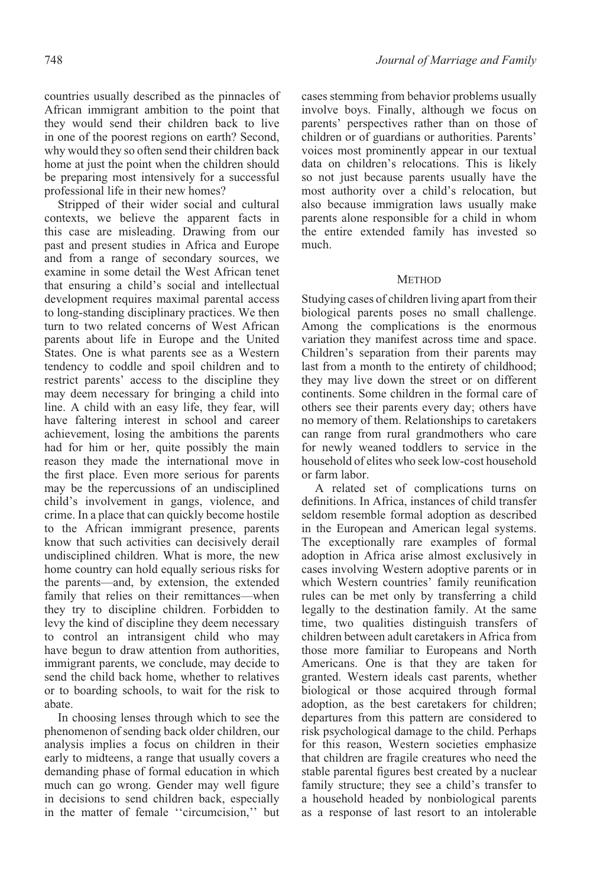countries usually described as the pinnacles of African immigrant ambition to the point that they would send their children back to live in one of the poorest regions on earth? Second, why would they so often send their children back home at just the point when the children should be preparing most intensively for a successful professional life in their new homes?

Stripped of their wider social and cultural contexts, we believe the apparent facts in this case are misleading. Drawing from our past and present studies in Africa and Europe and from a range of secondary sources, we examine in some detail the West African tenet that ensuring a child's social and intellectual development requires maximal parental access to long-standing disciplinary practices. We then turn to two related concerns of West African parents about life in Europe and the United States. One is what parents see as a Western tendency to coddle and spoil children and to restrict parents' access to the discipline they may deem necessary for bringing a child into line. A child with an easy life, they fear, will have faltering interest in school and career achievement, losing the ambitions the parents had for him or her, quite possibly the main reason they made the international move in the first place. Even more serious for parents may be the repercussions of an undisciplined child's involvement in gangs, violence, and crime. In a place that can quickly become hostile to the African immigrant presence, parents know that such activities can decisively derail undisciplined children. What is more, the new home country can hold equally serious risks for the parents—and, by extension, the extended family that relies on their remittances—when they try to discipline children. Forbidden to levy the kind of discipline they deem necessary to control an intransigent child who may have begun to draw attention from authorities, immigrant parents, we conclude, may decide to send the child back home, whether to relatives or to boarding schools, to wait for the risk to abate.

In choosing lenses through which to see the phenomenon of sending back older children, our analysis implies a focus on children in their early to midteens, a range that usually covers a demanding phase of formal education in which much can go wrong. Gender may well figure in decisions to send children back, especially in the matter of female ''circumcision,'' but

cases stemming from behavior problems usually involve boys. Finally, although we focus on parents' perspectives rather than on those of children or of guardians or authorities. Parents' voices most prominently appear in our textual data on children's relocations. This is likely so not just because parents usually have the most authority over a child's relocation, but also because immigration laws usually make parents alone responsible for a child in whom the entire extended family has invested so much.

## **METHOD**

Studying cases of children living apart from their biological parents poses no small challenge. Among the complications is the enormous variation they manifest across time and space. Children's separation from their parents may last from a month to the entirety of childhood; they may live down the street or on different continents. Some children in the formal care of others see their parents every day; others have no memory of them. Relationships to caretakers can range from rural grandmothers who care for newly weaned toddlers to service in the household of elites who seek low-cost household or farm labor.

A related set of complications turns on definitions. In Africa, instances of child transfer seldom resemble formal adoption as described in the European and American legal systems. The exceptionally rare examples of formal adoption in Africa arise almost exclusively in cases involving Western adoptive parents or in which Western countries' family reunification rules can be met only by transferring a child legally to the destination family. At the same time, two qualities distinguish transfers of children between adult caretakers in Africa from those more familiar to Europeans and North Americans. One is that they are taken for granted. Western ideals cast parents, whether biological or those acquired through formal adoption, as the best caretakers for children; departures from this pattern are considered to risk psychological damage to the child. Perhaps for this reason, Western societies emphasize that children are fragile creatures who need the stable parental figures best created by a nuclear family structure; they see a child's transfer to a household headed by nonbiological parents as a response of last resort to an intolerable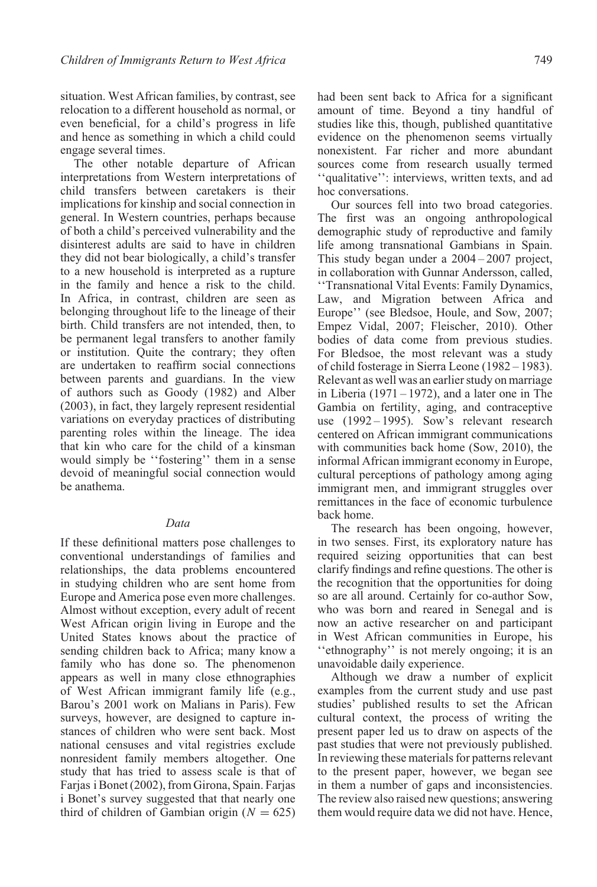situation. West African families, by contrast, see relocation to a different household as normal, or even beneficial, for a child's progress in life and hence as something in which a child could engage several times.

The other notable departure of African interpretations from Western interpretations of child transfers between caretakers is their implications for kinship and social connection in general. In Western countries, perhaps because of both a child's perceived vulnerability and the disinterest adults are said to have in children they did not bear biologically, a child's transfer to a new household is interpreted as a rupture in the family and hence a risk to the child. In Africa, in contrast, children are seen as belonging throughout life to the lineage of their birth. Child transfers are not intended, then, to be permanent legal transfers to another family or institution. Quite the contrary; they often are undertaken to reaffirm social connections between parents and guardians. In the view of authors such as Goody (1982) and Alber (2003), in fact, they largely represent residential variations on everyday practices of distributing parenting roles within the lineage. The idea that kin who care for the child of a kinsman would simply be ''fostering'' them in a sense devoid of meaningful social connection would be anathema.

## *Data*

If these definitional matters pose challenges to conventional understandings of families and relationships, the data problems encountered in studying children who are sent home from Europe and America pose even more challenges. Almost without exception, every adult of recent West African origin living in Europe and the United States knows about the practice of sending children back to Africa; many know a family who has done so. The phenomenon appears as well in many close ethnographies of West African immigrant family life (e.g., Barou's 2001 work on Malians in Paris). Few surveys, however, are designed to capture instances of children who were sent back. Most national censuses and vital registries exclude nonresident family members altogether. One study that has tried to assess scale is that of Farjas i Bonet (2002), from Girona, Spain. Farjas i Bonet's survey suggested that that nearly one third of children of Gambian origin  $(N = 625)$ 

had been sent back to Africa for a significant amount of time. Beyond a tiny handful of studies like this, though, published quantitative evidence on the phenomenon seems virtually nonexistent. Far richer and more abundant sources come from research usually termed ''qualitative'': interviews, written texts, and ad hoc conversations.

Our sources fell into two broad categories. The first was an ongoing anthropological demographic study of reproductive and family life among transnational Gambians in Spain. This study began under a 2004 – 2007 project, in collaboration with Gunnar Andersson, called, ''Transnational Vital Events: Family Dynamics, Law, and Migration between Africa and Europe'' (see Bledsoe, Houle, and Sow, 2007; Empez Vidal, 2007; Fleischer, 2010). Other bodies of data come from previous studies. For Bledsoe, the most relevant was a study of child fosterage in Sierra Leone (1982 – 1983). Relevant as well was an earlier study on marriage in Liberia  $(1971 - 1972)$ , and a later one in The Gambia on fertility, aging, and contraceptive use (1992–1995). Sow's relevant research centered on African immigrant communications with communities back home (Sow, 2010), the informal African immigrant economy in Europe, cultural perceptions of pathology among aging immigrant men, and immigrant struggles over remittances in the face of economic turbulence back home.

The research has been ongoing, however, in two senses. First, its exploratory nature has required seizing opportunities that can best clarify findings and refine questions. The other is the recognition that the opportunities for doing so are all around. Certainly for co-author Sow, who was born and reared in Senegal and is now an active researcher on and participant in West African communities in Europe, his ''ethnography'' is not merely ongoing; it is an unavoidable daily experience.

Although we draw a number of explicit examples from the current study and use past studies' published results to set the African cultural context, the process of writing the present paper led us to draw on aspects of the past studies that were not previously published. In reviewing these materials for patterns relevant to the present paper, however, we began see in them a number of gaps and inconsistencies. The review also raised new questions; answering them would require data we did not have. Hence,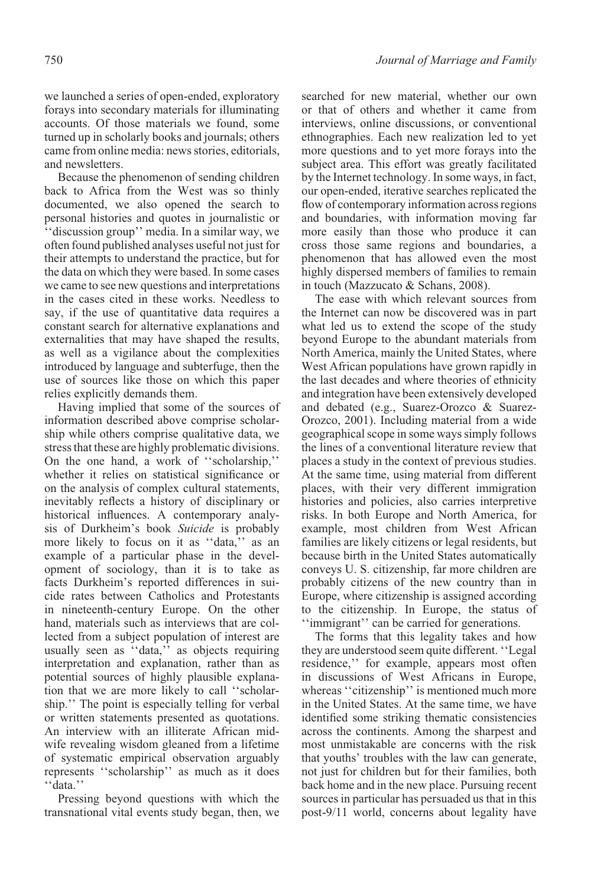we launched a series of open-ended, exploratory forays into secondary materials for illuminating accounts. Of those materials we found, some turned up in scholarly books and journals; others came from online media: news stories, editorials, and newsletters.

Because the phenomenon of sending children back to Africa from the West was so thinly documented, we also opened the search to personal histories and quotes in journalistic or ''discussion group'' media. In a similar way, we often found published analyses useful not just for their attempts to understand the practice, but for the data on which they were based. In some cases we came to see new questions and interpretations in the cases cited in these works. Needless to say, if the use of quantitative data requires a constant search for alternative explanations and externalities that may have shaped the results, as well as a vigilance about the complexities introduced by language and subterfuge, then the use of sources like those on which this paper relies explicitly demands them.

Having implied that some of the sources of information described above comprise scholarship while others comprise qualitative data, we stress that these are highly problematic divisions. On the one hand, a work of ''scholarship,'' whether it relies on statistical significance or on the analysis of complex cultural statements, inevitably reflects a history of disciplinary or historical influences. A contemporary analysis of Durkheim's book *Suicide* is probably more likely to focus on it as "data," as an example of a particular phase in the development of sociology, than it is to take as facts Durkheim's reported differences in suicide rates between Catholics and Protestants in nineteenth-century Europe. On the other hand, materials such as interviews that are collected from a subject population of interest are usually seen as ''data,'' as objects requiring interpretation and explanation, rather than as potential sources of highly plausible explanation that we are more likely to call ''scholarship.'' The point is especially telling for verbal or written statements presented as quotations. An interview with an illiterate African midwife revealing wisdom gleaned from a lifetime of systematic empirical observation arguably represents ''scholarship'' as much as it does ''data.''

Pressing beyond questions with which the transnational vital events study began, then, we searched for new material, whether our own or that of others and whether it came from interviews, online discussions, or conventional ethnographies. Each new realization led to yet more questions and to yet more forays into the subject area. This effort was greatly facilitated by the Internet technology. In some ways, in fact, our open-ended, iterative searches replicated the flow of contemporary information across regions and boundaries, with information moving far more easily than those who produce it can cross those same regions and boundaries, a phenomenon that has allowed even the most highly dispersed members of families to remain in touch (Mazzucato & Schans, 2008).

The ease with which relevant sources from the Internet can now be discovered was in part what led us to extend the scope of the study beyond Europe to the abundant materials from North America, mainly the United States, where West African populations have grown rapidly in the last decades and where theories of ethnicity and integration have been extensively developed and debated (e.g., Suarez-Orozco & Suarez-Orozco, 2001). Including material from a wide geographical scope in some ways simply follows the lines of a conventional literature review that places a study in the context of previous studies. At the same time, using material from different places, with their very different immigration histories and policies, also carries interpretive risks. In both Europe and North America, for example, most children from West African families are likely citizens or legal residents, but because birth in the United States automatically conveys U. S. citizenship, far more children are probably citizens of the new country than in Europe, where citizenship is assigned according to the citizenship. In Europe, the status of ''immigrant'' can be carried for generations.

The forms that this legality takes and how they are understood seem quite different. ''Legal residence,'' for example, appears most often in discussions of West Africans in Europe, whereas ''citizenship'' is mentioned much more in the United States. At the same time, we have identified some striking thematic consistencies across the continents. Among the sharpest and most unmistakable are concerns with the risk that youths' troubles with the law can generate, not just for children but for their families, both back home and in the new place. Pursuing recent sources in particular has persuaded us that in this post-9/11 world, concerns about legality have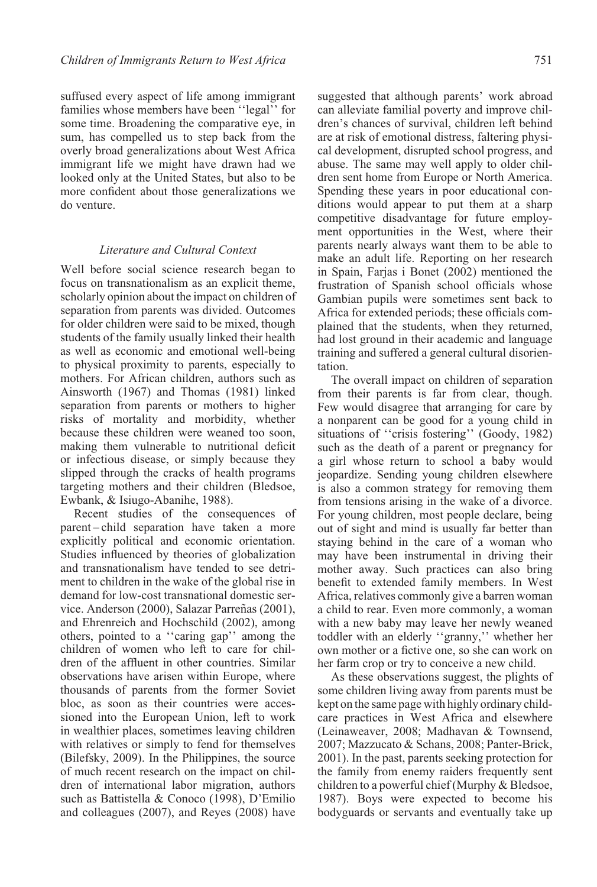suffused every aspect of life among immigrant families whose members have been ''legal'' for some time. Broadening the comparative eye, in sum, has compelled us to step back from the overly broad generalizations about West Africa immigrant life we might have drawn had we looked only at the United States, but also to be more confident about those generalizations we do venture.

## *Literature and Cultural Context*

Well before social science research began to focus on transnationalism as an explicit theme, scholarly opinion about the impact on children of separation from parents was divided. Outcomes for older children were said to be mixed, though students of the family usually linked their health as well as economic and emotional well-being to physical proximity to parents, especially to mothers. For African children, authors such as Ainsworth (1967) and Thomas (1981) linked separation from parents or mothers to higher risks of mortality and morbidity, whether because these children were weaned too soon, making them vulnerable to nutritional deficit or infectious disease, or simply because they slipped through the cracks of health programs targeting mothers and their children (Bledsoe, Ewbank, & Isiugo-Abanihe, 1988).

Recent studies of the consequences of parent – child separation have taken a more explicitly political and economic orientation. Studies influenced by theories of globalization and transnationalism have tended to see detriment to children in the wake of the global rise in demand for low-cost transnational domestic service. Anderson (2000), Salazar Parreñas (2001), and Ehrenreich and Hochschild (2002), among others, pointed to a ''caring gap'' among the children of women who left to care for children of the affluent in other countries. Similar observations have arisen within Europe, where thousands of parents from the former Soviet bloc, as soon as their countries were accessioned into the European Union, left to work in wealthier places, sometimes leaving children with relatives or simply to fend for themselves (Bilefsky, 2009). In the Philippines, the source of much recent research on the impact on children of international labor migration, authors such as Battistella & Conoco (1998), D'Emilio and colleagues (2007), and Reyes (2008) have

suggested that although parents' work abroad can alleviate familial poverty and improve children's chances of survival, children left behind are at risk of emotional distress, faltering physical development, disrupted school progress, and abuse. The same may well apply to older children sent home from Europe or North America. Spending these years in poor educational conditions would appear to put them at a sharp competitive disadvantage for future employment opportunities in the West, where their parents nearly always want them to be able to make an adult life. Reporting on her research in Spain, Farjas i Bonet (2002) mentioned the frustration of Spanish school officials whose Gambian pupils were sometimes sent back to Africa for extended periods; these officials complained that the students, when they returned, had lost ground in their academic and language training and suffered a general cultural disorientation.

The overall impact on children of separation from their parents is far from clear, though. Few would disagree that arranging for care by a nonparent can be good for a young child in situations of ''crisis fostering'' (Goody, 1982) such as the death of a parent or pregnancy for a girl whose return to school a baby would jeopardize. Sending young children elsewhere is also a common strategy for removing them from tensions arising in the wake of a divorce. For young children, most people declare, being out of sight and mind is usually far better than staying behind in the care of a woman who may have been instrumental in driving their mother away. Such practices can also bring benefit to extended family members. In West Africa, relatives commonly give a barren woman a child to rear. Even more commonly, a woman with a new baby may leave her newly weaned toddler with an elderly ''granny,'' whether her own mother or a fictive one, so she can work on her farm crop or try to conceive a new child.

As these observations suggest, the plights of some children living away from parents must be kept on the same page with highly ordinary childcare practices in West Africa and elsewhere (Leinaweaver, 2008; Madhavan & Townsend, 2007; Mazzucato & Schans, 2008; Panter-Brick, 2001). In the past, parents seeking protection for the family from enemy raiders frequently sent children to a powerful chief (Murphy & Bledsoe, 1987). Boys were expected to become his bodyguards or servants and eventually take up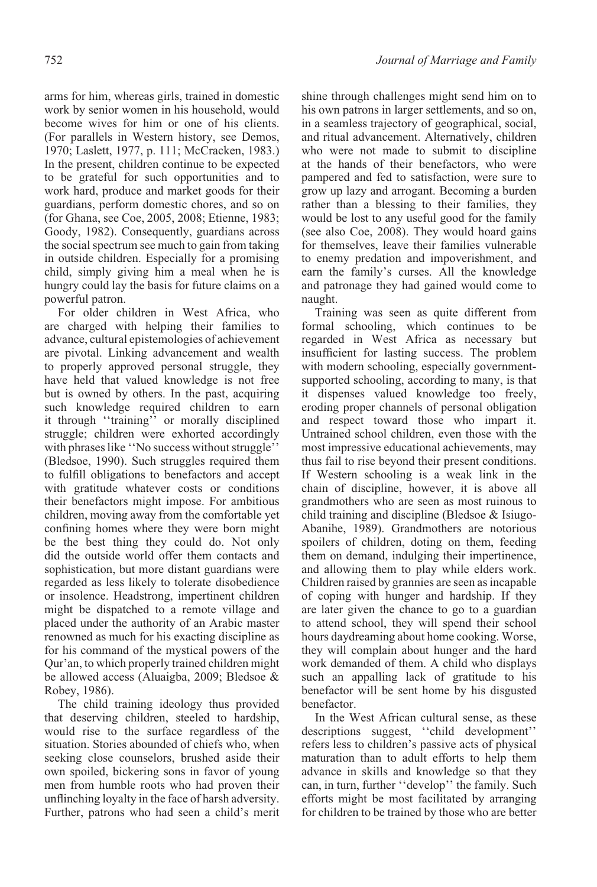arms for him, whereas girls, trained in domestic work by senior women in his household, would become wives for him or one of his clients. (For parallels in Western history, see Demos, 1970; Laslett, 1977, p. 111; McCracken, 1983.) In the present, children continue to be expected to be grateful for such opportunities and to work hard, produce and market goods for their guardians, perform domestic chores, and so on (for Ghana, see Coe, 2005, 2008; Etienne, 1983; Goody, 1982). Consequently, guardians across the social spectrum see much to gain from taking in outside children. Especially for a promising child, simply giving him a meal when he is hungry could lay the basis for future claims on a powerful patron.

For older children in West Africa, who are charged with helping their families to advance, cultural epistemologies of achievement are pivotal. Linking advancement and wealth to properly approved personal struggle, they have held that valued knowledge is not free but is owned by others. In the past, acquiring such knowledge required children to earn it through ''training'' or morally disciplined struggle; children were exhorted accordingly with phrases like "No success without struggle" (Bledsoe, 1990). Such struggles required them to fulfill obligations to benefactors and accept with gratitude whatever costs or conditions their benefactors might impose. For ambitious children, moving away from the comfortable yet confining homes where they were born might be the best thing they could do. Not only did the outside world offer them contacts and sophistication, but more distant guardians were regarded as less likely to tolerate disobedience or insolence. Headstrong, impertinent children might be dispatched to a remote village and placed under the authority of an Arabic master renowned as much for his exacting discipline as for his command of the mystical powers of the Qur'an, to which properly trained children might be allowed access (Aluaigba, 2009; Bledsoe & Robey, 1986).

The child training ideology thus provided that deserving children, steeled to hardship, would rise to the surface regardless of the situation. Stories abounded of chiefs who, when seeking close counselors, brushed aside their own spoiled, bickering sons in favor of young men from humble roots who had proven their unflinching loyalty in the face of harsh adversity. Further, patrons who had seen a child's merit

shine through challenges might send him on to his own patrons in larger settlements, and so on, in a seamless trajectory of geographical, social, and ritual advancement. Alternatively, children who were not made to submit to discipline at the hands of their benefactors, who were pampered and fed to satisfaction, were sure to grow up lazy and arrogant. Becoming a burden rather than a blessing to their families, they would be lost to any useful good for the family (see also Coe, 2008). They would hoard gains for themselves, leave their families vulnerable to enemy predation and impoverishment, and earn the family's curses. All the knowledge and patronage they had gained would come to naught.

Training was seen as quite different from formal schooling, which continues to be regarded in West Africa as necessary but insufficient for lasting success. The problem with modern schooling, especially governmentsupported schooling, according to many, is that it dispenses valued knowledge too freely, eroding proper channels of personal obligation and respect toward those who impart it. Untrained school children, even those with the most impressive educational achievements, may thus fail to rise beyond their present conditions. If Western schooling is a weak link in the chain of discipline, however, it is above all grandmothers who are seen as most ruinous to child training and discipline (Bledsoe & Isiugo-Abanihe, 1989). Grandmothers are notorious spoilers of children, doting on them, feeding them on demand, indulging their impertinence, and allowing them to play while elders work. Children raised by grannies are seen as incapable of coping with hunger and hardship. If they are later given the chance to go to a guardian to attend school, they will spend their school hours daydreaming about home cooking. Worse, they will complain about hunger and the hard work demanded of them. A child who displays such an appalling lack of gratitude to his benefactor will be sent home by his disgusted benefactor.

In the West African cultural sense, as these descriptions suggest, ''child development'' refers less to children's passive acts of physical maturation than to adult efforts to help them advance in skills and knowledge so that they can, in turn, further ''develop'' the family. Such efforts might be most facilitated by arranging for children to be trained by those who are better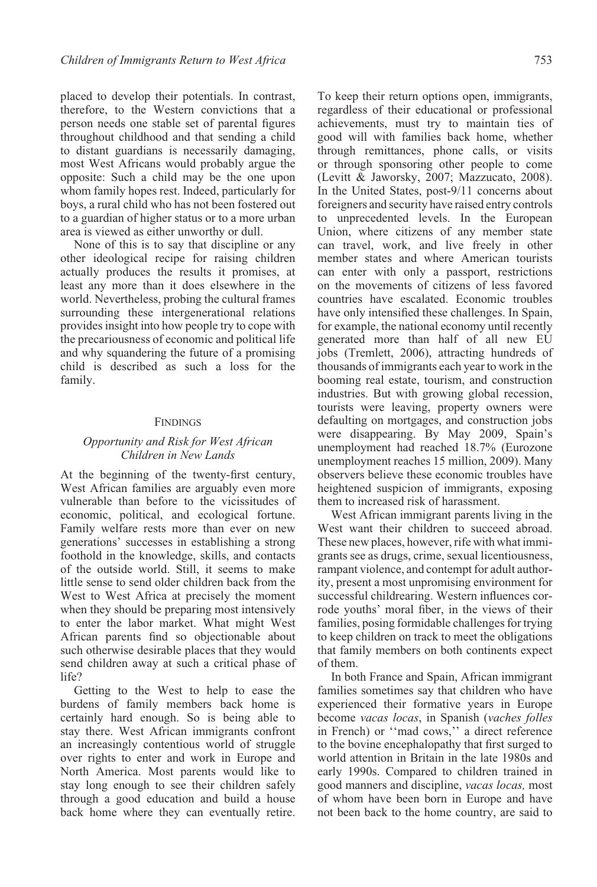placed to develop their potentials. In contrast, therefore, to the Western convictions that a person needs one stable set of parental figures throughout childhood and that sending a child to distant guardians is necessarily damaging, most West Africans would probably argue the opposite: Such a child may be the one upon whom family hopes rest. Indeed, particularly for boys, a rural child who has not been fostered out to a guardian of higher status or to a more urban area is viewed as either unworthy or dull.

None of this is to say that discipline or any other ideological recipe for raising children actually produces the results it promises, at least any more than it does elsewhere in the world. Nevertheless, probing the cultural frames surrounding these intergenerational relations provides insight into how people try to cope with the precariousness of economic and political life and why squandering the future of a promising child is described as such a loss for the family.

### FINDINGS

# *Opportunity and Risk for West African Children in New Lands*

At the beginning of the twenty-first century, West African families are arguably even more vulnerable than before to the vicissitudes of economic, political, and ecological fortune. Family welfare rests more than ever on new generations' successes in establishing a strong foothold in the knowledge, skills, and contacts of the outside world. Still, it seems to make little sense to send older children back from the West to West Africa at precisely the moment when they should be preparing most intensively to enter the labor market. What might West African parents find so objectionable about such otherwise desirable places that they would send children away at such a critical phase of life?

Getting to the West to help to ease the burdens of family members back home is certainly hard enough. So is being able to stay there. West African immigrants confront an increasingly contentious world of struggle over rights to enter and work in Europe and North America. Most parents would like to stay long enough to see their children safely through a good education and build a house back home where they can eventually retire.

To keep their return options open, immigrants, regardless of their educational or professional achievements, must try to maintain ties of good will with families back home, whether through remittances, phone calls, or visits or through sponsoring other people to come (Levitt & Jaworsky, 2007; Mazzucato, 2008). In the United States, post-9/11 concerns about foreigners and security have raised entry controls to unprecedented levels. In the European Union, where citizens of any member state can travel, work, and live freely in other member states and where American tourists can enter with only a passport, restrictions on the movements of citizens of less favored countries have escalated. Economic troubles have only intensified these challenges. In Spain, for example, the national economy until recently generated more than half of all new EU

jobs (Tremlett, 2006), attracting hundreds of thousands of immigrants each year to work in the booming real estate, tourism, and construction industries. But with growing global recession, tourists were leaving, property owners were defaulting on mortgages, and construction jobs were disappearing. By May 2009, Spain's unemployment had reached 18.7% (Eurozone unemployment reaches 15 million, 2009). Many observers believe these economic troubles have heightened suspicion of immigrants, exposing them to increased risk of harassment.

West African immigrant parents living in the West want their children to succeed abroad. These new places, however, rife with what immigrants see as drugs, crime, sexual licentiousness, rampant violence, and contempt for adult authority, present a most unpromising environment for successful childrearing. Western influences corrode youths' moral fiber, in the views of their families, posing formidable challenges for trying to keep children on track to meet the obligations that family members on both continents expect of them.

In both France and Spain, African immigrant families sometimes say that children who have experienced their formative years in Europe become *vacas locas*, in Spanish (*vaches folles* in French) or ''mad cows,'' a direct reference to the bovine encephalopathy that first surged to world attention in Britain in the late 1980s and early 1990s. Compared to children trained in good manners and discipline, *vacas locas,* most of whom have been born in Europe and have not been back to the home country, are said to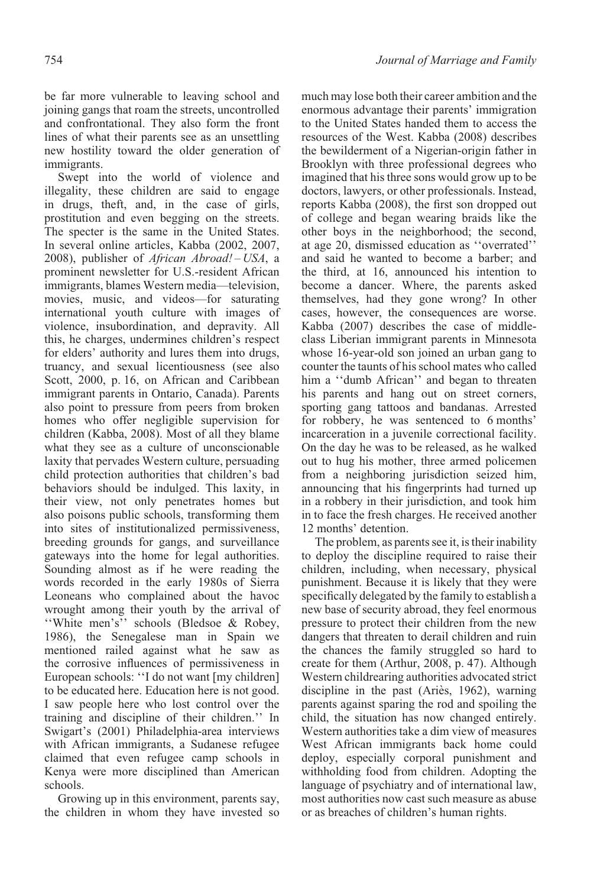be far more vulnerable to leaving school and joining gangs that roam the streets, uncontrolled and confrontational. They also form the front lines of what their parents see as an unsettling new hostility toward the older generation of immigrants.

Swept into the world of violence and illegality, these children are said to engage in drugs, theft, and, in the case of girls, prostitution and even begging on the streets. The specter is the same in the United States. In several online articles, Kabba (2002, 2007, 2008), publisher of *African Abroad! – USA*, a prominent newsletter for U.S.-resident African immigrants, blames Western media—television, movies, music, and videos—for saturating international youth culture with images of violence, insubordination, and depravity. All this, he charges, undermines children's respect for elders' authority and lures them into drugs, truancy, and sexual licentiousness (see also Scott, 2000, p. 16, on African and Caribbean immigrant parents in Ontario, Canada). Parents also point to pressure from peers from broken homes who offer negligible supervision for children (Kabba, 2008). Most of all they blame what they see as a culture of unconscionable laxity that pervades Western culture, persuading child protection authorities that children's bad behaviors should be indulged. This laxity, in their view, not only penetrates homes but also poisons public schools, transforming them into sites of institutionalized permissiveness, breeding grounds for gangs, and surveillance gateways into the home for legal authorities. Sounding almost as if he were reading the words recorded in the early 1980s of Sierra Leoneans who complained about the havoc wrought among their youth by the arrival of ''White men's'' schools (Bledsoe & Robey, 1986), the Senegalese man in Spain we mentioned railed against what he saw as the corrosive influences of permissiveness in European schools: ''I do not want [my children] to be educated here. Education here is not good. I saw people here who lost control over the training and discipline of their children.'' In Swigart's (2001) Philadelphia-area interviews with African immigrants, a Sudanese refugee claimed that even refugee camp schools in Kenya were more disciplined than American schools.

Growing up in this environment, parents say, the children in whom they have invested so much may lose both their career ambition and the enormous advantage their parents' immigration to the United States handed them to access the resources of the West. Kabba (2008) describes the bewilderment of a Nigerian-origin father in Brooklyn with three professional degrees who imagined that his three sons would grow up to be doctors, lawyers, or other professionals. Instead, reports Kabba (2008), the first son dropped out of college and began wearing braids like the other boys in the neighborhood; the second, at age 20, dismissed education as ''overrated'' and said he wanted to become a barber; and the third, at 16, announced his intention to become a dancer. Where, the parents asked themselves, had they gone wrong? In other cases, however, the consequences are worse. Kabba (2007) describes the case of middleclass Liberian immigrant parents in Minnesota whose 16-year-old son joined an urban gang to counter the taunts of his school mates who called him a "dumb African" and began to threaten his parents and hang out on street corners, sporting gang tattoos and bandanas. Arrested for robbery, he was sentenced to 6 months' incarceration in a juvenile correctional facility. On the day he was to be released, as he walked out to hug his mother, three armed policemen from a neighboring jurisdiction seized him, announcing that his fingerprints had turned up in a robbery in their jurisdiction, and took him in to face the fresh charges. He received another 12 months' detention.

The problem, as parents see it, is their inability to deploy the discipline required to raise their children, including, when necessary, physical punishment. Because it is likely that they were specifically delegated by the family to establish a new base of security abroad, they feel enormous pressure to protect their children from the new dangers that threaten to derail children and ruin the chances the family struggled so hard to create for them (Arthur, 2008, p. 47). Although Western childrearing authorities advocated strict discipline in the past (Ariès, 1962), warning parents against sparing the rod and spoiling the child, the situation has now changed entirely. Western authorities take a dim view of measures West African immigrants back home could deploy, especially corporal punishment and withholding food from children. Adopting the language of psychiatry and of international law, most authorities now cast such measure as abuse or as breaches of children's human rights.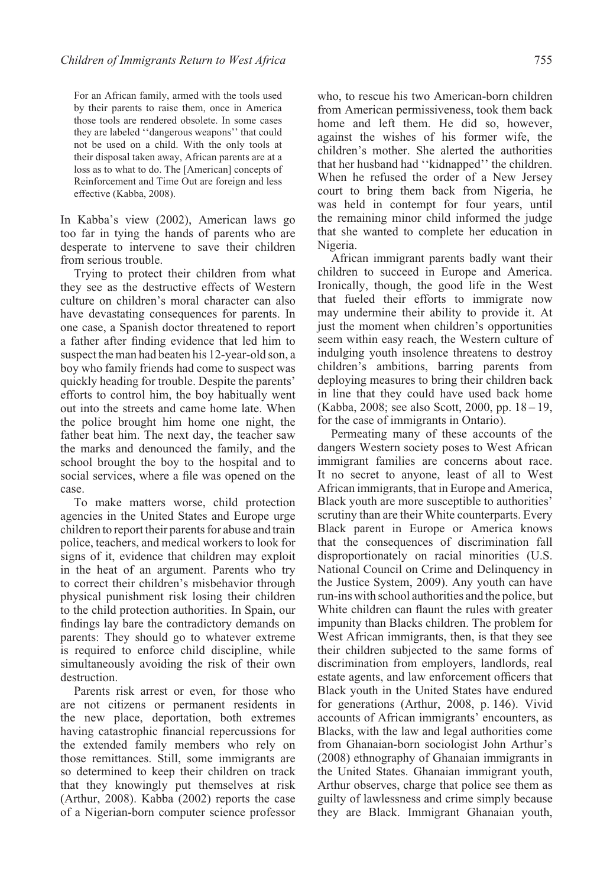For an African family, armed with the tools used by their parents to raise them, once in America those tools are rendered obsolete. In some cases they are labeled ''dangerous weapons'' that could not be used on a child. With the only tools at their disposal taken away, African parents are at a loss as to what to do. The [American] concepts of Reinforcement and Time Out are foreign and less effective (Kabba, 2008).

In Kabba's view (2002), American laws go too far in tying the hands of parents who are desperate to intervene to save their children from serious trouble.

Trying to protect their children from what they see as the destructive effects of Western culture on children's moral character can also have devastating consequences for parents. In one case, a Spanish doctor threatened to report a father after finding evidence that led him to suspect the man had beaten his 12-year-old son, a boy who family friends had come to suspect was quickly heading for trouble. Despite the parents' efforts to control him, the boy habitually went out into the streets and came home late. When the police brought him home one night, the father beat him. The next day, the teacher saw the marks and denounced the family, and the school brought the boy to the hospital and to social services, where a file was opened on the case.

To make matters worse, child protection agencies in the United States and Europe urge children to report their parents for abuse and train police, teachers, and medical workers to look for signs of it, evidence that children may exploit in the heat of an argument. Parents who try to correct their children's misbehavior through physical punishment risk losing their children to the child protection authorities. In Spain, our findings lay bare the contradictory demands on parents: They should go to whatever extreme is required to enforce child discipline, while simultaneously avoiding the risk of their own destruction.

Parents risk arrest or even, for those who are not citizens or permanent residents in the new place, deportation, both extremes having catastrophic financial repercussions for the extended family members who rely on those remittances. Still, some immigrants are so determined to keep their children on track that they knowingly put themselves at risk (Arthur, 2008). Kabba (2002) reports the case of a Nigerian-born computer science professor

who, to rescue his two American-born children from American permissiveness, took them back home and left them. He did so, however, against the wishes of his former wife, the children's mother. She alerted the authorities that her husband had ''kidnapped'' the children. When he refused the order of a New Jersey court to bring them back from Nigeria, he was held in contempt for four years, until the remaining minor child informed the judge that she wanted to complete her education in Nigeria.

African immigrant parents badly want their children to succeed in Europe and America. Ironically, though, the good life in the West that fueled their efforts to immigrate now may undermine their ability to provide it. At just the moment when children's opportunities seem within easy reach, the Western culture of indulging youth insolence threatens to destroy children's ambitions, barring parents from deploying measures to bring their children back in line that they could have used back home (Kabba, 2008; see also Scott, 2000, pp. 18 – 19, for the case of immigrants in Ontario).

Permeating many of these accounts of the dangers Western society poses to West African immigrant families are concerns about race. It no secret to anyone, least of all to West African immigrants, that in Europe and America, Black youth are more susceptible to authorities' scrutiny than are their White counterparts. Every Black parent in Europe or America knows that the consequences of discrimination fall disproportionately on racial minorities (U.S. National Council on Crime and Delinquency in the Justice System, 2009). Any youth can have run-ins with school authorities and the police, but White children can flaunt the rules with greater impunity than Blacks children. The problem for West African immigrants, then, is that they see their children subjected to the same forms of discrimination from employers, landlords, real estate agents, and law enforcement officers that Black youth in the United States have endured for generations (Arthur, 2008, p. 146). Vivid accounts of African immigrants' encounters, as Blacks, with the law and legal authorities come from Ghanaian-born sociologist John Arthur's (2008) ethnography of Ghanaian immigrants in the United States. Ghanaian immigrant youth, Arthur observes, charge that police see them as guilty of lawlessness and crime simply because they are Black. Immigrant Ghanaian youth,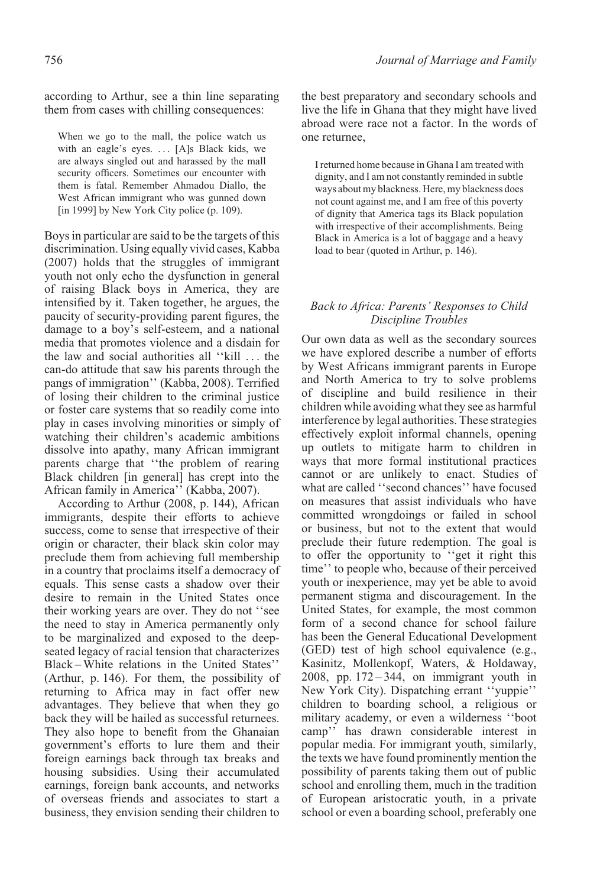according to Arthur, see a thin line separating them from cases with chilling consequences:

When we go to the mall, the police watch us with an eagle's eyes. *...* [A]s Black kids, we are always singled out and harassed by the mall security officers. Sometimes our encounter with them is fatal. Remember Ahmadou Diallo, the West African immigrant who was gunned down [in 1999] by New York City police (p. 109).

Boys in particular are said to be the targets of this discrimination. Using equally vivid cases, Kabba (2007) holds that the struggles of immigrant youth not only echo the dysfunction in general of raising Black boys in America, they are intensified by it. Taken together, he argues, the paucity of security-providing parent figures, the damage to a boy's self-esteem, and a national media that promotes violence and a disdain for the law and social authorities all ''kill *...* the can-do attitude that saw his parents through the pangs of immigration'' (Kabba, 2008). Terrified of losing their children to the criminal justice or foster care systems that so readily come into play in cases involving minorities or simply of watching their children's academic ambitions dissolve into apathy, many African immigrant parents charge that ''the problem of rearing Black children [in general] has crept into the African family in America'' (Kabba, 2007).

According to Arthur (2008, p. 144), African immigrants, despite their efforts to achieve success, come to sense that irrespective of their origin or character, their black skin color may preclude them from achieving full membership in a country that proclaims itself a democracy of equals. This sense casts a shadow over their desire to remain in the United States once their working years are over. They do not ''see the need to stay in America permanently only to be marginalized and exposed to the deepseated legacy of racial tension that characterizes Black – White relations in the United States'' (Arthur, p. 146). For them, the possibility of returning to Africa may in fact offer new advantages. They believe that when they go back they will be hailed as successful returnees. They also hope to benefit from the Ghanaian government's efforts to lure them and their foreign earnings back through tax breaks and housing subsidies. Using their accumulated earnings, foreign bank accounts, and networks of overseas friends and associates to start a business, they envision sending their children to

the best preparatory and secondary schools and live the life in Ghana that they might have lived abroad were race not a factor. In the words of one returnee,

I returned home because in Ghana I am treated with dignity, and I am not constantly reminded in subtle ways about my blackness. Here, my blackness does not count against me, and I am free of this poverty of dignity that America tags its Black population with irrespective of their accomplishments. Being Black in America is a lot of baggage and a heavy load to bear (quoted in Arthur, p. 146).

# *Back to Africa: Parents' Responses to Child Discipline Troubles*

Our own data as well as the secondary sources we have explored describe a number of efforts by West Africans immigrant parents in Europe and North America to try to solve problems of discipline and build resilience in their children while avoiding what they see as harmful interference by legal authorities. These strategies effectively exploit informal channels, opening up outlets to mitigate harm to children in ways that more formal institutional practices cannot or are unlikely to enact. Studies of what are called ''second chances'' have focused on measures that assist individuals who have committed wrongdoings or failed in school or business, but not to the extent that would preclude their future redemption. The goal is to offer the opportunity to ''get it right this time'' to people who, because of their perceived youth or inexperience, may yet be able to avoid permanent stigma and discouragement. In the United States, for example, the most common form of a second chance for school failure has been the General Educational Development (GED) test of high school equivalence (e.g., Kasinitz, Mollenkopf, Waters, & Holdaway, 2008, pp.  $172 - 344$ , on immigrant youth in New York City). Dispatching errant ''yuppie'' children to boarding school, a religious or military academy, or even a wilderness ''boot camp'' has drawn considerable interest in popular media. For immigrant youth, similarly, the texts we have found prominently mention the possibility of parents taking them out of public school and enrolling them, much in the tradition of European aristocratic youth, in a private school or even a boarding school, preferably one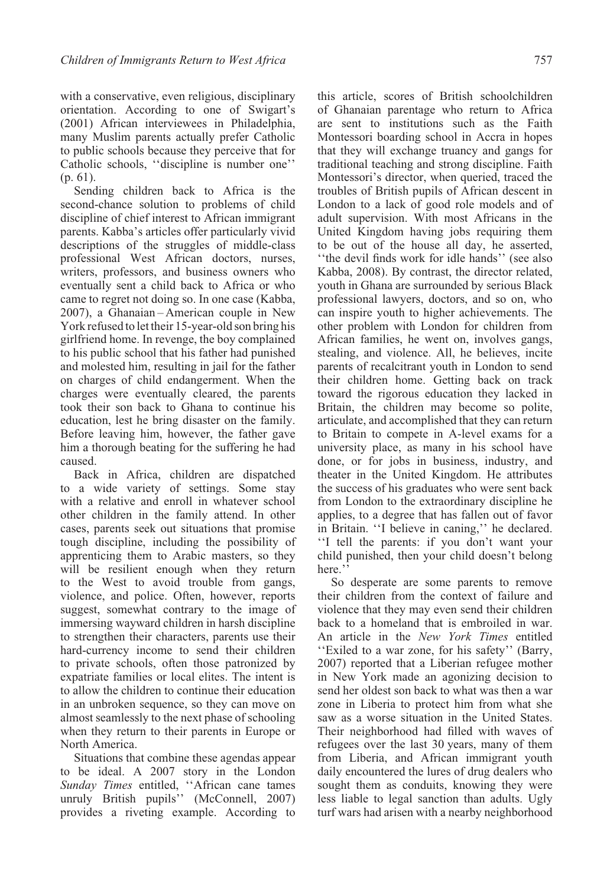with a conservative, even religious, disciplinary orientation. According to one of Swigart's (2001) African interviewees in Philadelphia, many Muslim parents actually prefer Catholic to public schools because they perceive that for Catholic schools, ''discipline is number one'' (p. 61).

Sending children back to Africa is the second-chance solution to problems of child discipline of chief interest to African immigrant parents. Kabba's articles offer particularly vivid descriptions of the struggles of middle-class professional West African doctors, nurses, writers, professors, and business owners who eventually sent a child back to Africa or who came to regret not doing so. In one case (Kabba, 2007), a Ghanaian – American couple in New York refused to let their 15-year-old son bring his girlfriend home. In revenge, the boy complained to his public school that his father had punished and molested him, resulting in jail for the father on charges of child endangerment. When the charges were eventually cleared, the parents took their son back to Ghana to continue his education, lest he bring disaster on the family. Before leaving him, however, the father gave him a thorough beating for the suffering he had caused.

Back in Africa, children are dispatched to a wide variety of settings. Some stay with a relative and enroll in whatever school other children in the family attend. In other cases, parents seek out situations that promise tough discipline, including the possibility of apprenticing them to Arabic masters, so they will be resilient enough when they return to the West to avoid trouble from gangs, violence, and police. Often, however, reports suggest, somewhat contrary to the image of immersing wayward children in harsh discipline to strengthen their characters, parents use their hard-currency income to send their children to private schools, often those patronized by expatriate families or local elites. The intent is to allow the children to continue their education in an unbroken sequence, so they can move on almost seamlessly to the next phase of schooling when they return to their parents in Europe or North America.

Situations that combine these agendas appear to be ideal. A 2007 story in the London *Sunday Times* entitled, ''African cane tames unruly British pupils'' (McConnell, 2007) provides a riveting example. According to

this article, scores of British schoolchildren of Ghanaian parentage who return to Africa are sent to institutions such as the Faith Montessori boarding school in Accra in hopes that they will exchange truancy and gangs for traditional teaching and strong discipline. Faith Montessori's director, when queried, traced the troubles of British pupils of African descent in London to a lack of good role models and of adult supervision. With most Africans in the United Kingdom having jobs requiring them to be out of the house all day, he asserted, ''the devil finds work for idle hands'' (see also Kabba, 2008). By contrast, the director related, youth in Ghana are surrounded by serious Black professional lawyers, doctors, and so on, who can inspire youth to higher achievements. The other problem with London for children from African families, he went on, involves gangs, stealing, and violence. All, he believes, incite parents of recalcitrant youth in London to send their children home. Getting back on track toward the rigorous education they lacked in Britain, the children may become so polite, articulate, and accomplished that they can return to Britain to compete in A-level exams for a university place, as many in his school have done, or for jobs in business, industry, and theater in the United Kingdom. He attributes the success of his graduates who were sent back from London to the extraordinary discipline he applies, to a degree that has fallen out of favor in Britain. ''I believe in caning,'' he declared. ''I tell the parents: if you don't want your child punished, then your child doesn't belong here.'

So desperate are some parents to remove their children from the context of failure and violence that they may even send their children back to a homeland that is embroiled in war. An article in the *New York Times* entitled ''Exiled to a war zone, for his safety'' (Barry, 2007) reported that a Liberian refugee mother in New York made an agonizing decision to send her oldest son back to what was then a war zone in Liberia to protect him from what she saw as a worse situation in the United States. Their neighborhood had filled with waves of refugees over the last 30 years, many of them from Liberia, and African immigrant youth daily encountered the lures of drug dealers who sought them as conduits, knowing they were less liable to legal sanction than adults. Ugly turf wars had arisen with a nearby neighborhood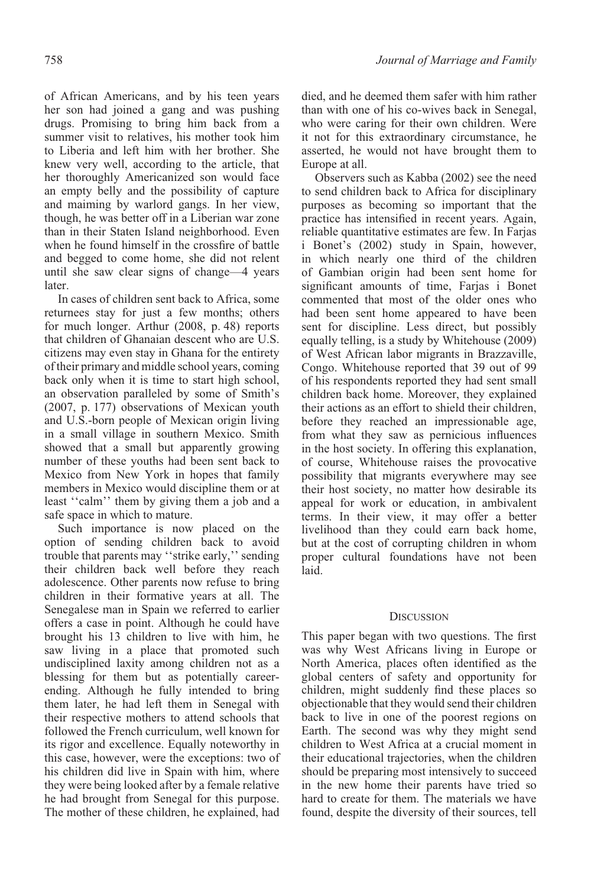of African Americans, and by his teen years her son had joined a gang and was pushing drugs. Promising to bring him back from a summer visit to relatives, his mother took him to Liberia and left him with her brother. She knew very well, according to the article, that her thoroughly Americanized son would face an empty belly and the possibility of capture and maiming by warlord gangs. In her view, though, he was better off in a Liberian war zone than in their Staten Island neighborhood. Even when he found himself in the crossfire of battle and begged to come home, she did not relent until she saw clear signs of change—4 years later.

In cases of children sent back to Africa, some returnees stay for just a few months; others for much longer. Arthur (2008, p. 48) reports that children of Ghanaian descent who are U.S. citizens may even stay in Ghana for the entirety of their primary and middle school years, coming back only when it is time to start high school, an observation paralleled by some of Smith's (2007, p. 177) observations of Mexican youth and U.S.-born people of Mexican origin living in a small village in southern Mexico. Smith showed that a small but apparently growing number of these youths had been sent back to Mexico from New York in hopes that family members in Mexico would discipline them or at least ''calm'' them by giving them a job and a safe space in which to mature.

Such importance is now placed on the option of sending children back to avoid trouble that parents may ''strike early,'' sending their children back well before they reach adolescence. Other parents now refuse to bring children in their formative years at all. The Senegalese man in Spain we referred to earlier offers a case in point. Although he could have brought his 13 children to live with him, he saw living in a place that promoted such undisciplined laxity among children not as a blessing for them but as potentially careerending. Although he fully intended to bring them later, he had left them in Senegal with their respective mothers to attend schools that followed the French curriculum, well known for its rigor and excellence. Equally noteworthy in this case, however, were the exceptions: two of his children did live in Spain with him, where they were being looked after by a female relative he had brought from Senegal for this purpose. The mother of these children, he explained, had

died, and he deemed them safer with him rather than with one of his co-wives back in Senegal, who were caring for their own children. Were it not for this extraordinary circumstance, he asserted, he would not have brought them to Europe at all.

Observers such as Kabba (2002) see the need to send children back to Africa for disciplinary purposes as becoming so important that the practice has intensified in recent years. Again, reliable quantitative estimates are few. In Farjas i Bonet's (2002) study in Spain, however, in which nearly one third of the children of Gambian origin had been sent home for significant amounts of time, Farjas i Bonet commented that most of the older ones who had been sent home appeared to have been sent for discipline. Less direct, but possibly equally telling, is a study by Whitehouse (2009) of West African labor migrants in Brazzaville, Congo. Whitehouse reported that 39 out of 99 of his respondents reported they had sent small children back home. Moreover, they explained their actions as an effort to shield their children, before they reached an impressionable age, from what they saw as pernicious influences in the host society. In offering this explanation, of course, Whitehouse raises the provocative possibility that migrants everywhere may see their host society, no matter how desirable its appeal for work or education, in ambivalent terms. In their view, it may offer a better livelihood than they could earn back home, but at the cost of corrupting children in whom proper cultural foundations have not been laid.

## **DISCUSSION**

This paper began with two questions. The first was why West Africans living in Europe or North America, places often identified as the global centers of safety and opportunity for children, might suddenly find these places so objectionable that they would send their children back to live in one of the poorest regions on Earth. The second was why they might send children to West Africa at a crucial moment in their educational trajectories, when the children should be preparing most intensively to succeed in the new home their parents have tried so hard to create for them. The materials we have found, despite the diversity of their sources, tell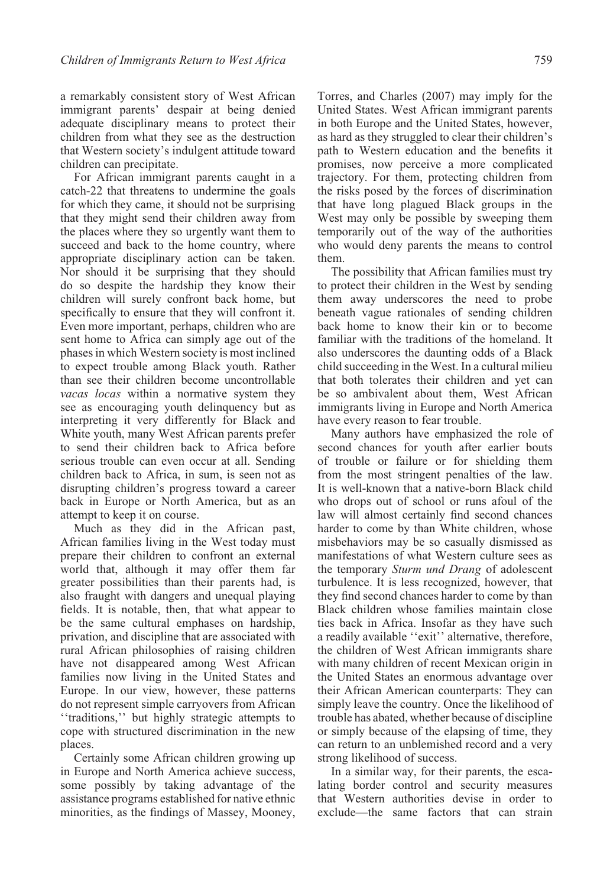a remarkably consistent story of West African immigrant parents' despair at being denied adequate disciplinary means to protect their children from what they see as the destruction that Western society's indulgent attitude toward children can precipitate.

For African immigrant parents caught in a catch-22 that threatens to undermine the goals for which they came, it should not be surprising that they might send their children away from the places where they so urgently want them to succeed and back to the home country, where appropriate disciplinary action can be taken. Nor should it be surprising that they should do so despite the hardship they know their children will surely confront back home, but specifically to ensure that they will confront it. Even more important, perhaps, children who are sent home to Africa can simply age out of the phases in which Western society is most inclined to expect trouble among Black youth. Rather than see their children become uncontrollable *vacas locas* within a normative system they see as encouraging youth delinquency but as interpreting it very differently for Black and White youth, many West African parents prefer to send their children back to Africa before serious trouble can even occur at all. Sending children back to Africa, in sum, is seen not as disrupting children's progress toward a career back in Europe or North America, but as an attempt to keep it on course.

Much as they did in the African past, African families living in the West today must prepare their children to confront an external world that, although it may offer them far greater possibilities than their parents had, is also fraught with dangers and unequal playing fields. It is notable, then, that what appear to be the same cultural emphases on hardship, privation, and discipline that are associated with rural African philosophies of raising children have not disappeared among West African families now living in the United States and Europe. In our view, however, these patterns do not represent simple carryovers from African ''traditions,'' but highly strategic attempts to cope with structured discrimination in the new places.

Certainly some African children growing up in Europe and North America achieve success, some possibly by taking advantage of the assistance programs established for native ethnic minorities, as the findings of Massey, Mooney,

Torres, and Charles (2007) may imply for the United States. West African immigrant parents in both Europe and the United States, however, as hard as they struggled to clear their children's path to Western education and the benefits it promises, now perceive a more complicated trajectory. For them, protecting children from the risks posed by the forces of discrimination that have long plagued Black groups in the West may only be possible by sweeping them temporarily out of the way of the authorities who would deny parents the means to control them.

The possibility that African families must try to protect their children in the West by sending them away underscores the need to probe beneath vague rationales of sending children back home to know their kin or to become familiar with the traditions of the homeland. It also underscores the daunting odds of a Black child succeeding in the West. In a cultural milieu that both tolerates their children and yet can be so ambivalent about them, West African immigrants living in Europe and North America have every reason to fear trouble.

Many authors have emphasized the role of second chances for youth after earlier bouts of trouble or failure or for shielding them from the most stringent penalties of the law. It is well-known that a native-born Black child who drops out of school or runs afoul of the law will almost certainly find second chances harder to come by than White children, whose misbehaviors may be so casually dismissed as manifestations of what Western culture sees as the temporary *Sturm und Drang* of adolescent turbulence. It is less recognized, however, that they find second chances harder to come by than Black children whose families maintain close ties back in Africa. Insofar as they have such a readily available ''exit'' alternative, therefore, the children of West African immigrants share with many children of recent Mexican origin in the United States an enormous advantage over their African American counterparts: They can simply leave the country. Once the likelihood of trouble has abated, whether because of discipline or simply because of the elapsing of time, they can return to an unblemished record and a very strong likelihood of success.

In a similar way, for their parents, the escalating border control and security measures that Western authorities devise in order to exclude—the same factors that can strain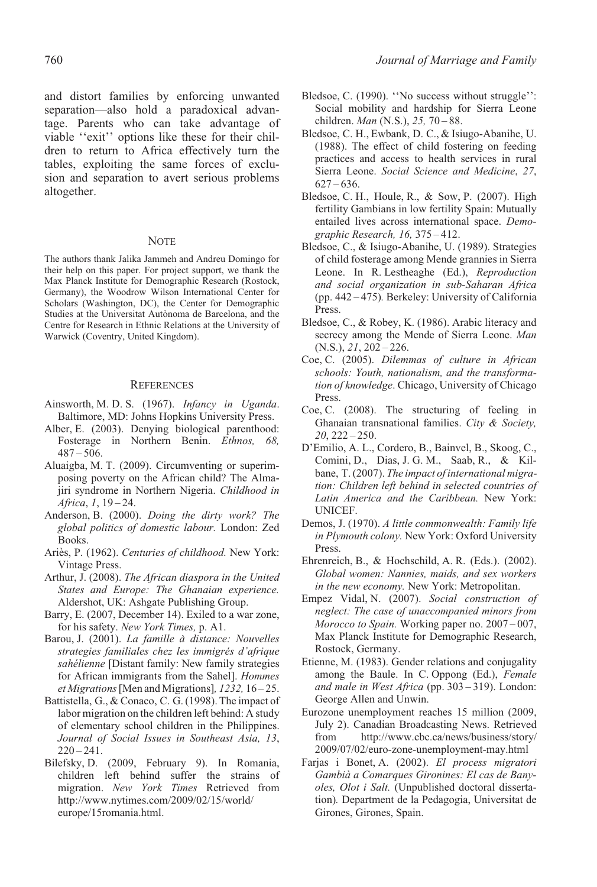and distort families by enforcing unwanted separation—also hold a paradoxical advantage. Parents who can take advantage of viable ''exit'' options like these for their children to return to Africa effectively turn the tables, exploiting the same forces of exclusion and separation to avert serious problems altogether.

#### **NOTE**

The authors thank Jalika Jammeh and Andreu Domingo for their help on this paper. For project support, we thank the Max Planck Institute for Demographic Research (Rostock, Germany), the Woodrow Wilson International Center for Scholars (Washington, DC), the Center for Demographic Studies at the Universitat Autònoma de Barcelona, and the Centre for Research in Ethnic Relations at the University of Warwick (Coventry, United Kingdom).

### **REFERENCES**

- Ainsworth, M. D. S. (1967). *Infancy in Uganda*. Baltimore, MD: Johns Hopkins University Press.
- Alber, E. (2003). Denying biological parenthood: Fosterage in Northern Benin. *Ethnos, 68,*  $487 - 506$ .
- Aluaigba, M. T. (2009). Circumventing or superimposing poverty on the African child? The Almajiri syndrome in Northern Nigeria. *Childhood in Africa*, *1*, 19 – 24.
- Anderson, B. (2000). *Doing the dirty work? The global politics of domestic labour.* London: Zed Books.
- Ariès, P. (1962). *Centuries of childhood*. New York: Vintage Press.
- Arthur, J. (2008). *The African diaspora in the United States and Europe: The Ghanaian experience.* Aldershot, UK: Ashgate Publishing Group.
- Barry, E. (2007, December 14). Exiled to a war zone, for his safety. *New York Times,* p. A1.
- Barou, J. (2001). *La famille a distance: Nouvelles ` strategies familiales chez les immigres d'afrique ´* sahélienne *[Distant family: New family strategies* for African immigrants from the Sahel]. *Hommes et Migrations*[Men and Migrations]*, 1232,* 16 – 25.
- Battistella, G., & Conaco, C. G. (1998). The impact of labor migration on the children left behind: A study of elementary school children in the Philippines. *Journal of Social Issues in Southeast Asia, 13*,  $220 - 241$ .
- Bilefsky, D. (2009, February 9). In Romania, children left behind suffer the strains of migration. *New York Times* Retrieved from http://www.nytimes.com/2009/02/15/world/ europe/15romania.html.
- Bledsoe, C. (1990). ''No success without struggle'': Social mobility and hardship for Sierra Leone children. *Man* (N.S.), *25,* 70 – 88.
- Bledsoe, C. H., Ewbank, D. C., & Isiugo-Abanihe, U. (1988). The effect of child fostering on feeding practices and access to health services in rural Sierra Leone. *Social Science and Medicine*, *27*,  $627 - 636.$
- Bledsoe, C. H., Houle, R., & Sow, P. (2007). High fertility Gambians in low fertility Spain: Mutually entailed lives across international space. *Demographic Research, 16,* 375 – 412.
- Bledsoe, C., & Isiugo-Abanihe, U. (1989). Strategies of child fosterage among Mende grannies in Sierra Leone. In R. Lestheaghe (Ed.), *Reproduction and social organization in sub-Saharan Africa* (pp. 442 – 475)*.* Berkeley: University of California Press.
- Bledsoe, C., & Robey, K. (1986). Arabic literacy and secrecy among the Mende of Sierra Leone. *Man* (N.S.), *21*, 202 – 226.
- Coe, C. (2005). *Dilemmas of culture in African schools: Youth, nationalism, and the transformation of knowledge*. Chicago, University of Chicago Press.
- Coe, C. (2008). The structuring of feeling in Ghanaian transnational families. *City & Society, 20*, 222 – 250.
- D'Emilio, A. L., Cordero, B., Bainvel, B., Skoog, C., Comini, D., Dias, J. G. M., Saab, R., & Kilbane, T. (2007). *The impact of international migration: Children left behind in selected countries of Latin America and the Caribbean.* New York: UNICEF.
- Demos, J. (1970). *A little commonwealth: Family life in Plymouth colony.* New York: Oxford University Press.
- Ehrenreich, B., & Hochschild, A. R. (Eds.). (2002). *Global women: Nannies, maids, and sex workers in the new economy.* New York: Metropolitan.
- Empez Vidal, N. (2007). *Social construction of neglect: The case of unaccompanied minors from Morocco to Spain.* Working paper no. 2007 – 007, Max Planck Institute for Demographic Research, Rostock, Germany.
- Etienne, M. (1983). Gender relations and conjugality among the Baule. In C. Oppong (Ed.), *Female and male in West Africa* (pp. 303 – 319). London: George Allen and Unwin.
- Eurozone unemployment reaches 15 million (2009, July 2). Canadian Broadcasting News. Retrieved from http://www.cbc.ca/news/business/story/ 2009/07/02/euro-zone-unemployment-may.html
- Farjas i Bonet, A. (2002). *El process migratori Gambia a Comarques Gironines: El cas de Bany- ` oles, Olot i Salt.* (Unpublished doctoral dissertation)*.* Department de la Pedagogia, Universitat de Girones, Girones, Spain.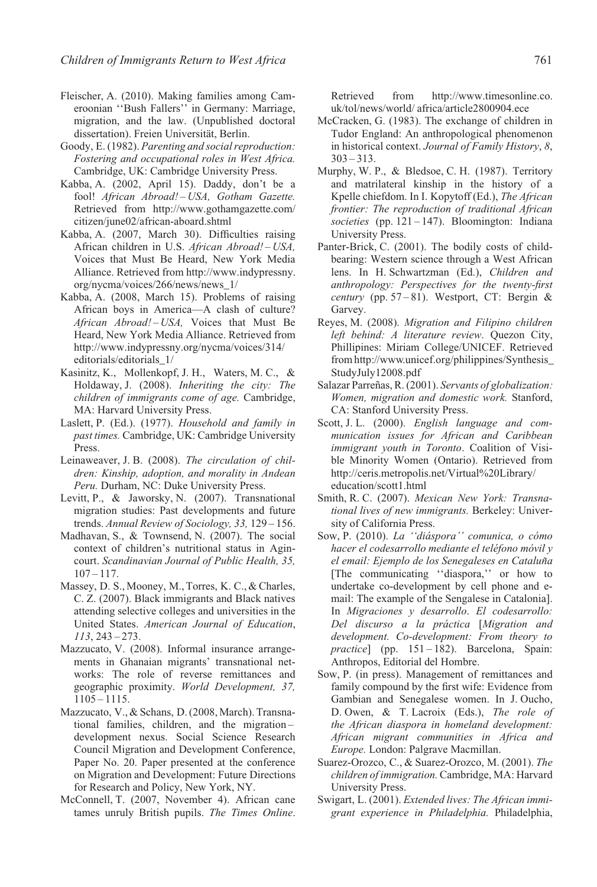- Fleischer, A. (2010). Making families among Cameroonian ''Bush Fallers'' in Germany: Marriage, migration, and the law. (Unpublished doctoral dissertation). Freien Universität, Berlin.
- Goody, E. (1982). *Parenting and social reproduction: Fostering and occupational roles in West Africa.* Cambridge, UK: Cambridge University Press.
- Kabba, A. (2002, April 15). Daddy, don't be a fool! *African Abroad! – USA, Gotham Gazette.* Retrieved from http://www.gothamgazette.com/ citizen/june02/african-aboard.shtml
- Kabba, A. (2007, March 30). Difficulties raising African children in U.S. *African Abroad! – USA,* Voices that Must Be Heard, New York Media Alliance. Retrieved from http://www.indypressny. org/nycma/voices/266/news/news\_1/
- Kabba, A. (2008, March 15). Problems of raising African boys in America—A clash of culture? *African Abroad! – USA,* Voices that Must Be Heard, New York Media Alliance. Retrieved from http://www.indypressny.org/nycma/voices/314/ editorials/editorials\_1/
- Kasinitz, K., Mollenkopf, J. H., Waters, M. C., & Holdaway, J. (2008). *Inheriting the city: The children of immigrants come of age.* Cambridge, MA: Harvard University Press.
- Laslett, P. (Ed.). (1977). *Household and family in past times.* Cambridge, UK: Cambridge University Press.
- Leinaweaver, J. B. (2008). *The circulation of children: Kinship, adoption, and morality in Andean Peru.* Durham, NC: Duke University Press.
- Levitt, P., & Jaworsky, N. (2007). Transnational migration studies: Past developments and future trends. *Annual Review of Sociology, 33,* 129 – 156.
- Madhavan, S., & Townsend, N. (2007). The social context of children's nutritional status in Agincourt. *Scandinavian Journal of Public Health, 35,*  $107 - 117.$
- Massey, D. S., Mooney, M., Torres, K. C., & Charles, C. Z. (2007). Black immigrants and Black natives attending selective colleges and universities in the United States. *American Journal of Education*, *113*, 243 – 273.
- Mazzucato, V. (2008). Informal insurance arrangements in Ghanaian migrants' transnational networks: The role of reverse remittances and geographic proximity. *World Development, 37,* 1105 – 1115.
- Mazzucato, V., & Schans, D. (2008, March). Transnational families, children, and the migration – development nexus. Social Science Research Council Migration and Development Conference, Paper No. 20. Paper presented at the conference on Migration and Development: Future Directions for Research and Policy, New York, NY.
- McConnell, T. (2007, November 4). African cane tames unruly British pupils. *The Times Online*.

Retrieved from http://www.timesonline.co. uk/tol/news/world/ africa/article2800904.ece

- McCracken, G. (1983). The exchange of children in Tudor England: An anthropological phenomenon in historical context. *Journal of Family History*, *8*,  $303 - 313$ .
- Murphy, W. P., & Bledsoe, C. H. (1987). Territory and matrilateral kinship in the history of a Kpelle chiefdom. In I. Kopytoff (Ed.), *The African frontier: The reproduction of traditional African societies* (pp. 121 – 147). Bloomington: Indiana University Press.
- Panter-Brick, C. (2001). The bodily costs of childbearing: Western science through a West African lens. In H. Schwartzman (Ed.), *Children and anthropology: Perspectives for the twenty-first century* (pp. 57 – 81). Westport, CT: Bergin & Garvey.
- Reyes, M. (2008). *Migration and Filipino children left behind: A literature review*. Quezon City, Phillipines: Miriam College/UNICEF. Retrieved from http://www.unicef.org/philippines/Synthesis\_ StudyJuly12008.pdf
- Salazar Parreñas, R. (2001). Servants of globalization: *Women, migration and domestic work.* Stanford, CA: Stanford University Press.
- Scott, J. L. (2000). *English language and communication issues for African and Caribbean immigrant youth in Toronto*. Coalition of Visible Minority Women (Ontario). Retrieved from http://ceris.metropolis.net/Virtual%20Library/ education/scott1.html
- Smith, R. C. (2007). *Mexican New York: Transnational lives of new immigrants.* Berkeley: University of California Press.
- Sow, P. (2010). La "diáspora" comunica, o cómo *hacer el codesarrollo mediante el teléfono móvil y el email: Ejemplo de los Senegaleses en Cataluña* [The communicating ''diaspora,'' or how to undertake co-development by cell phone and email: The example of the Sengalese in Catalonia]. In *Migraciones y desarrollo*. *El codesarrollo: Del discurso a la practica ´* [*Migration and development. Co-development: From theory to practice*] (pp. 151 – 182). Barcelona, Spain: Anthropos, Editorial del Hombre.
- Sow, P. (in press). Management of remittances and family compound by the first wife: Evidence from Gambian and Senegalese women. In J. Oucho, D. Owen, & T. Lacroix (Eds.), *The role of the African diaspora in homeland development: African migrant communities in Africa and Europe.* London: Palgrave Macmillan.
- Suarez-Orozco, C., & Suarez-Orozco, M. (2001). *The children of immigration.*Cambridge, MA: Harvard University Press.
- Swigart, L. (2001). *Extended lives: The African immigrant experience in Philadelphia.* Philadelphia,